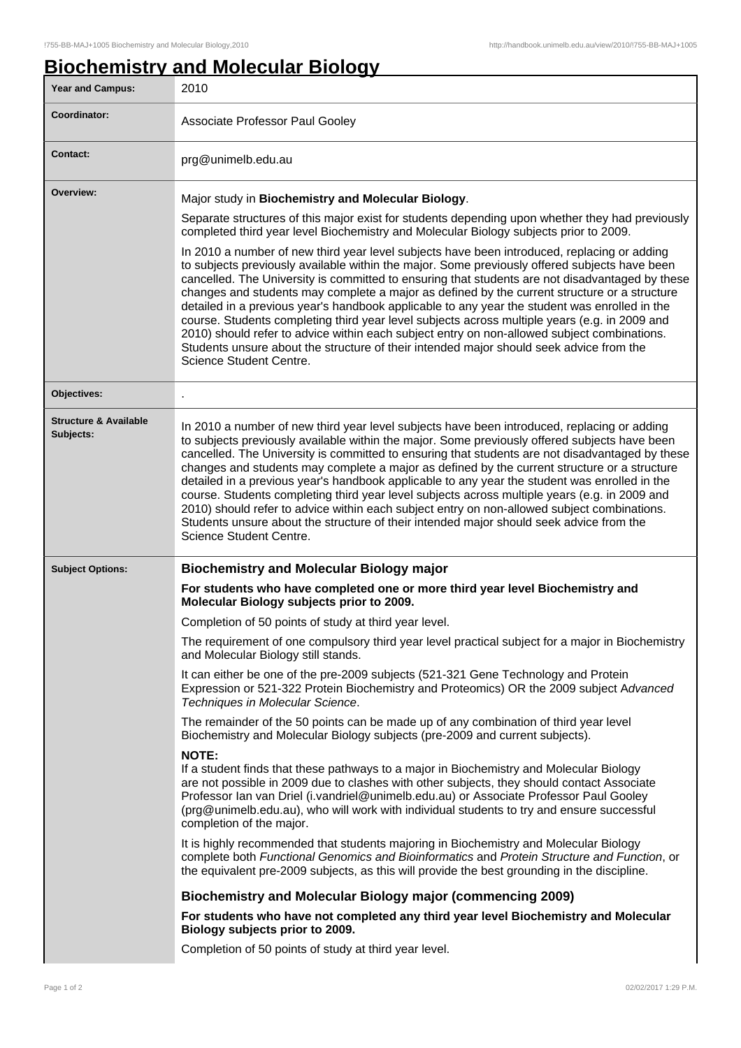## **Biochemistry and Molecular Biology**

| Year and Campus:                              | 2010                                                                                                                                                                                                                                                                                                                                                                                                                                                                                                                                                                                                                                                                                                                                                                                                                                                                                                                                                                                                                                                                                                                                                                                                                                                                                                                                                                                                                                                                                                                                                                    |
|-----------------------------------------------|-------------------------------------------------------------------------------------------------------------------------------------------------------------------------------------------------------------------------------------------------------------------------------------------------------------------------------------------------------------------------------------------------------------------------------------------------------------------------------------------------------------------------------------------------------------------------------------------------------------------------------------------------------------------------------------------------------------------------------------------------------------------------------------------------------------------------------------------------------------------------------------------------------------------------------------------------------------------------------------------------------------------------------------------------------------------------------------------------------------------------------------------------------------------------------------------------------------------------------------------------------------------------------------------------------------------------------------------------------------------------------------------------------------------------------------------------------------------------------------------------------------------------------------------------------------------------|
| Coordinator:                                  | Associate Professor Paul Gooley                                                                                                                                                                                                                                                                                                                                                                                                                                                                                                                                                                                                                                                                                                                                                                                                                                                                                                                                                                                                                                                                                                                                                                                                                                                                                                                                                                                                                                                                                                                                         |
| <b>Contact:</b>                               | prg@unimelb.edu.au                                                                                                                                                                                                                                                                                                                                                                                                                                                                                                                                                                                                                                                                                                                                                                                                                                                                                                                                                                                                                                                                                                                                                                                                                                                                                                                                                                                                                                                                                                                                                      |
| Overview:                                     | Major study in Biochemistry and Molecular Biology.<br>Separate structures of this major exist for students depending upon whether they had previously<br>completed third year level Biochemistry and Molecular Biology subjects prior to 2009.<br>In 2010 a number of new third year level subjects have been introduced, replacing or adding<br>to subjects previously available within the major. Some previously offered subjects have been<br>cancelled. The University is committed to ensuring that students are not disadvantaged by these<br>changes and students may complete a major as defined by the current structure or a structure<br>detailed in a previous year's handbook applicable to any year the student was enrolled in the<br>course. Students completing third year level subjects across multiple years (e.g. in 2009 and<br>2010) should refer to advice within each subject entry on non-allowed subject combinations.<br>Students unsure about the structure of their intended major should seek advice from the<br>Science Student Centre.                                                                                                                                                                                                                                                                                                                                                                                                                                                                                                |
| Objectives:                                   |                                                                                                                                                                                                                                                                                                                                                                                                                                                                                                                                                                                                                                                                                                                                                                                                                                                                                                                                                                                                                                                                                                                                                                                                                                                                                                                                                                                                                                                                                                                                                                         |
| <b>Structure &amp; Available</b><br>Subjects: | In 2010 a number of new third year level subjects have been introduced, replacing or adding<br>to subjects previously available within the major. Some previously offered subjects have been<br>cancelled. The University is committed to ensuring that students are not disadvantaged by these<br>changes and students may complete a major as defined by the current structure or a structure<br>detailed in a previous year's handbook applicable to any year the student was enrolled in the<br>course. Students completing third year level subjects across multiple years (e.g. in 2009 and<br>2010) should refer to advice within each subject entry on non-allowed subject combinations.                                                                                                                                                                                                                                                                                                                                                                                                                                                                                                                                                                                                                                                                                                                                                                                                                                                                        |
|                                               | Students unsure about the structure of their intended major should seek advice from the<br>Science Student Centre.                                                                                                                                                                                                                                                                                                                                                                                                                                                                                                                                                                                                                                                                                                                                                                                                                                                                                                                                                                                                                                                                                                                                                                                                                                                                                                                                                                                                                                                      |
|                                               |                                                                                                                                                                                                                                                                                                                                                                                                                                                                                                                                                                                                                                                                                                                                                                                                                                                                                                                                                                                                                                                                                                                                                                                                                                                                                                                                                                                                                                                                                                                                                                         |
| <b>Subject Options:</b>                       | <b>Biochemistry and Molecular Biology major</b><br>For students who have completed one or more third year level Biochemistry and<br>Molecular Biology subjects prior to 2009.<br>Completion of 50 points of study at third year level.<br>The requirement of one compulsory third year level practical subject for a major in Biochemistry<br>and Molecular Biology still stands.<br>It can either be one of the pre-2009 subjects (521-321 Gene Technology and Protein<br>Expression or 521-322 Protein Biochemistry and Proteomics) OR the 2009 subject Advanced<br>Techniques in Molecular Science.<br>The remainder of the 50 points can be made up of any combination of third year level<br>Biochemistry and Molecular Biology subjects (pre-2009 and current subjects).<br><b>NOTE:</b><br>If a student finds that these pathways to a major in Biochemistry and Molecular Biology<br>are not possible in 2009 due to clashes with other subjects, they should contact Associate<br>Professor Ian van Driel (i.vandriel@unimelb.edu.au) or Associate Professor Paul Gooley<br>(prg@unimelb.edu.au), who will work with individual students to try and ensure successful<br>completion of the major.<br>It is highly recommended that students majoring in Biochemistry and Molecular Biology<br>complete both Functional Genomics and Bioinformatics and Protein Structure and Function, or<br>the equivalent pre-2009 subjects, as this will provide the best grounding in the discipline.<br><b>Biochemistry and Molecular Biology major (commencing 2009)</b> |
|                                               | For students who have not completed any third year level Biochemistry and Molecular<br>Biology subjects prior to 2009.                                                                                                                                                                                                                                                                                                                                                                                                                                                                                                                                                                                                                                                                                                                                                                                                                                                                                                                                                                                                                                                                                                                                                                                                                                                                                                                                                                                                                                                  |